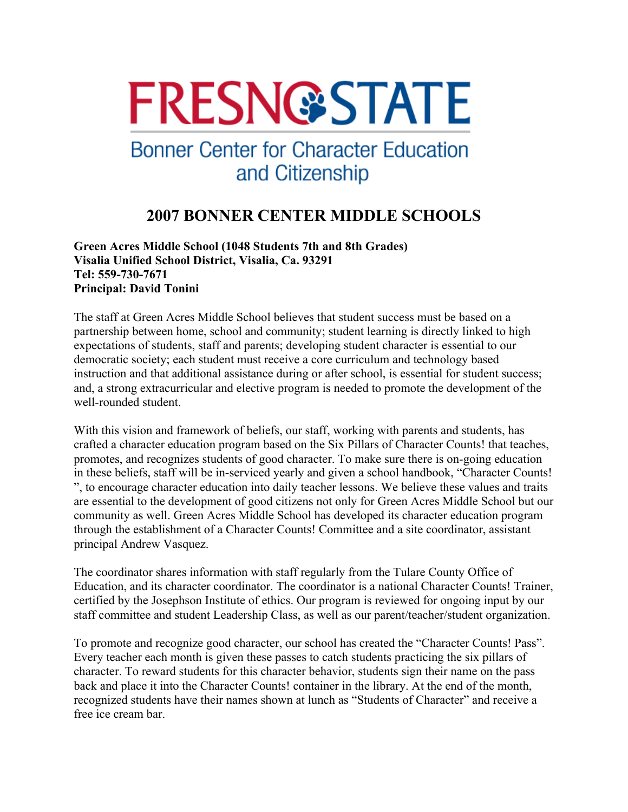# **FRESN@STATE**

## **Bonner Center for Character Education** and Citizenship

### **2007 BONNER CENTER MIDDLE SCHOOLS**

**Green Acres Middle School (1048 Students 7th and 8th Grades) Visalia Unified School District, Visalia, Ca. 93291 Tel: 559-730-7671 Principal: David Tonini** 

The staff at Green Acres Middle School believes that student success must be based on a partnership between home, school and community; student learning is directly linked to high expectations of students, staff and parents; developing student character is essential to our democratic society; each student must receive a core curriculum and technology based instruction and that additional assistance during or after school, is essential for student success; and, a strong extracurricular and elective program is needed to promote the development of the well-rounded student.

With this vision and framework of beliefs, our staff, working with parents and students, has crafted a character education program based on the Six Pillars of Character Counts! that teaches, promotes, and recognizes students of good character. To make sure there is on-going education in these beliefs, staff will be in-serviced yearly and given a school handbook, "Character Counts! ", to encourage character education into daily teacher lessons. We believe these values and traits are essential to the development of good citizens not only for Green Acres Middle School but our community as well. Green Acres Middle School has developed its character education program through the establishment of a Character Counts! Committee and a site coordinator, assistant principal Andrew Vasquez.

The coordinator shares information with staff regularly from the Tulare County Office of Education, and its character coordinator. The coordinator is a national Character Counts! Trainer, certified by the Josephson Institute of ethics. Our program is reviewed for ongoing input by our staff committee and student Leadership Class, as well as our parent/teacher/student organization.

To promote and recognize good character, our school has created the "Character Counts! Pass". Every teacher each month is given these passes to catch students practicing the six pillars of character. To reward students for this character behavior, students sign their name on the pass back and place it into the Character Counts! container in the library. At the end of the month, recognized students have their names shown at lunch as "Students of Character" and receive a free ice cream bar.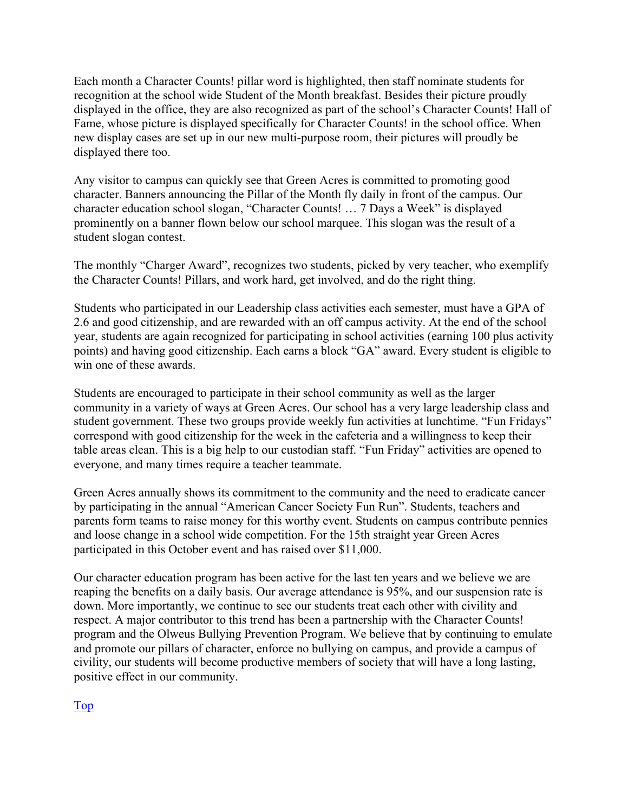Each month a Character Counts! pillar word is highlighted, then staff nominate students for recognition at the school wide Student of the Month breakfast. Besides their picture proudly displayed in the office, they are also recognized as part of the school's Character Counts! Hall of Fame, whose picture is displayed specifically for Character Counts! in the school office. When new display cases are set up in our new multi-purpose room, their pictures will proudly be displayed there too.

Any visitor to campus can quickly see that Green Acres is committed to promoting good character. Banners announcing the Pillar of the Month fly daily in front of the campus. Our character education school slogan, "Character Counts! … 7 Days a Week" is displayed prominently on a banner flown below our school marquee. This slogan was the result of a student slogan contest.

The monthly "Charger Award", recognizes two students, picked by very teacher, who exemplify the Character Counts! Pillars, and work hard, get involved, and do the right thing.

Students who participated in our Leadership class activities each semester, must have a GPA of 2.6 and good citizenship, and are rewarded with an off campus activity. At the end of the school year, students are again recognized for participating in school activities (earning 100 plus activity points) and having good citizenship. Each earns a block "GA" award. Every student is eligible to win one of these awards.

Students are encouraged to participate in their school community as well as the larger community in a variety of ways at Green Acres. Our school has a very large leadership class and student government. These two groups provide weekly fun activities at lunchtime. "Fun Fridays" correspond with good citizenship for the week in the cafeteria and a willingness to keep their table areas clean. This is a big help to our custodian staff. "Fun Friday" activities are opened to everyone, and many times require a teacher teammate.

Green Acres annually shows its commitment to the community and the need to eradicate cancer by participating in the annual "American Cancer Society Fun Run". Students, teachers and parents form teams to raise money for this worthy event. Students on campus contribute pennies and loose change in a school wide competition. For the 15th straight year Green Acres participated in this October event and has raised over \$11,000.

Our character education program has been active for the last ten years and we believe we are reaping the benefits on a daily basis. Our average attendance is 95%, and our suspension rate is down. More importantly, we continue to see our students treat each other with civility and respect. A major contributor to this trend has been a partnership with the Character Counts! program and the Olweus Bullying Prevention Program. We believe that by continuing to emulate and promote our pillars of character, enforce no bullying on campus, and provide a campus of civility, our students will become productive members of society that will have a long lasting, positive effect in our community.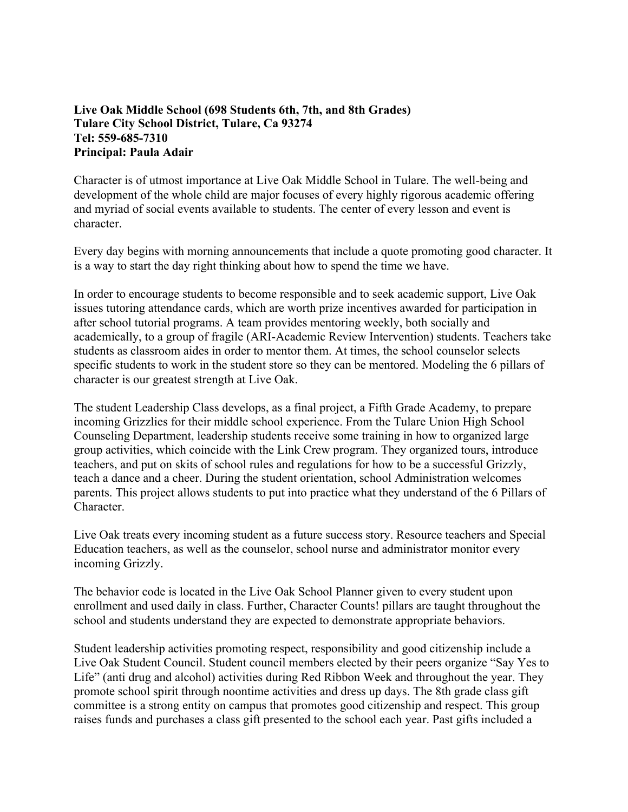#### **Live Oak Middle School (698 Students 6th, 7th, and 8th Grades) Tulare City School District, Tulare, Ca 93274 Tel: 559-685-7310 Principal: Paula Adair**

Character is of utmost importance at Live Oak Middle School in Tulare. The well-being and development of the whole child are major focuses of every highly rigorous academic offering and myriad of social events available to students. The center of every lesson and event is character.

Every day begins with morning announcements that include a quote promoting good character. It is a way to start the day right thinking about how to spend the time we have.

In order to encourage students to become responsible and to seek academic support, Live Oak issues tutoring attendance cards, which are worth prize incentives awarded for participation in after school tutorial programs. A team provides mentoring weekly, both socially and academically, to a group of fragile (ARI-Academic Review Intervention) students. Teachers take students as classroom aides in order to mentor them. At times, the school counselor selects specific students to work in the student store so they can be mentored. Modeling the 6 pillars of character is our greatest strength at Live Oak.

The student Leadership Class develops, as a final project, a Fifth Grade Academy, to prepare incoming Grizzlies for their middle school experience. From the Tulare Union High School Counseling Department, leadership students receive some training in how to organized large group activities, which coincide with the Link Crew program. They organized tours, introduce teachers, and put on skits of school rules and regulations for how to be a successful Grizzly, teach a dance and a cheer. During the student orientation, school Administration welcomes parents. This project allows students to put into practice what they understand of the 6 Pillars of Character.

Live Oak treats every incoming student as a future success story. Resource teachers and Special Education teachers, as well as the counselor, school nurse and administrator monitor every incoming Grizzly.

The behavior code is located in the Live Oak School Planner given to every student upon enrollment and used daily in class. Further, Character Counts! pillars are taught throughout the school and students understand they are expected to demonstrate appropriate behaviors.

Student leadership activities promoting respect, responsibility and good citizenship include a Live Oak Student Council. Student council members elected by their peers organize "Say Yes to Life" (anti drug and alcohol) activities during Red Ribbon Week and throughout the year. They promote school spirit through noontime activities and dress up days. The 8th grade class gift committee is a strong entity on campus that promotes good citizenship and respect. This group raises funds and purchases a class gift presented to the school each year. Past gifts included a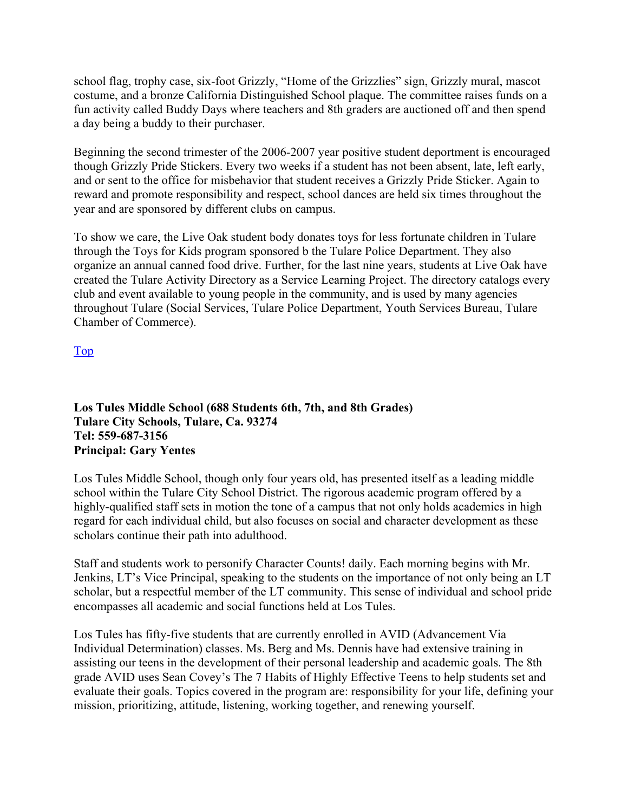school flag, trophy case, six-foot Grizzly, "Home of the Grizzlies" sign, Grizzly mural, mascot costume, and a bronze California Distinguished School plaque. The committee raises funds on a fun activity called Buddy Days where teachers and 8th graders are auctioned off and then spend a day being a buddy to their purchaser.

Beginning the second trimester of the 2006-2007 year positive student deportment is encouraged though Grizzly Pride Stickers. Every two weeks if a student has not been absent, late, left early, and or sent to the office for misbehavior that student receives a Grizzly Pride Sticker. Again to reward and promote responsibility and respect, school dances are held six times throughout the year and are sponsored by different clubs on campus.

To show we care, the Live Oak student body donates toys for less fortunate children in Tulare through the Toys for Kids program sponsored b the Tulare Police Department. They also organize an annual canned food drive. Further, for the last nine years, students at Live Oak have created the Tulare Activity Directory as a Service Learning Project. The directory catalogs every club and event available to young people in the community, and is used by many agencies throughout Tulare (Social Services, Tulare Police Department, Youth Services Bureau, Tulare Chamber of Commerce).

Top

**Los Tules Middle School (688 Students 6th, 7th, and 8th Grades) Tulare City Schools, Tulare, Ca. 93274 Tel: 559-687-3156 Principal: Gary Yentes** 

Los Tules Middle School, though only four years old, has presented itself as a leading middle school within the Tulare City School District. The rigorous academic program offered by a highly-qualified staff sets in motion the tone of a campus that not only holds academics in high regard for each individual child, but also focuses on social and character development as these scholars continue their path into adulthood.

Staff and students work to personify Character Counts! daily. Each morning begins with Mr. Jenkins, LT's Vice Principal, speaking to the students on the importance of not only being an LT scholar, but a respectful member of the LT community. This sense of individual and school pride encompasses all academic and social functions held at Los Tules.

Los Tules has fifty-five students that are currently enrolled in AVID (Advancement Via Individual Determination) classes. Ms. Berg and Ms. Dennis have had extensive training in assisting our teens in the development of their personal leadership and academic goals. The 8th grade AVID uses Sean Covey's The 7 Habits of Highly Effective Teens to help students set and evaluate their goals. Topics covered in the program are: responsibility for your life, defining your mission, prioritizing, attitude, listening, working together, and renewing yourself.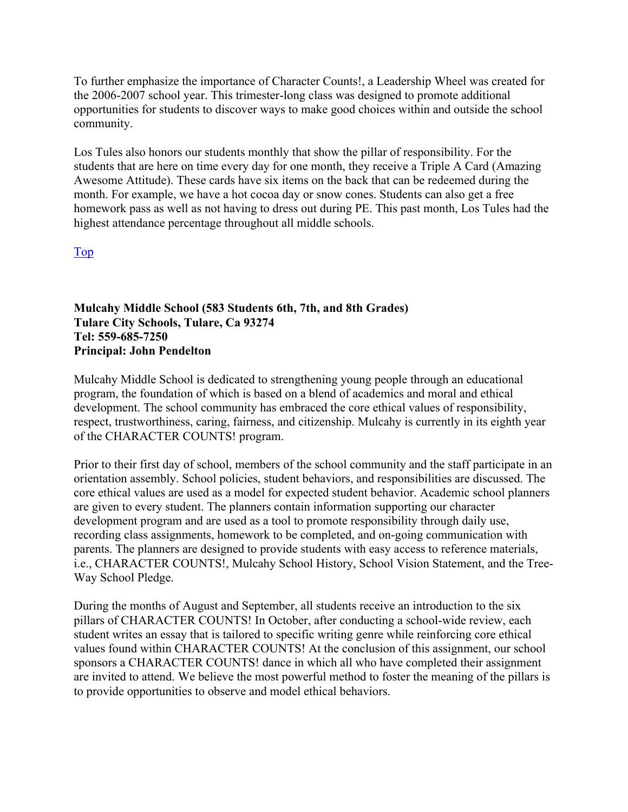To further emphasize the importance of Character Counts!, a Leadership Wheel was created for the 2006-2007 school year. This trimester-long class was designed to promote additional opportunities for students to discover ways to make good choices within and outside the school community.

Los Tules also honors our students monthly that show the pillar of responsibility. For the students that are here on time every day for one month, they receive a Triple A Card (Amazing Awesome Attitude). These cards have six items on the back that can be redeemed during the month. For example, we have a hot cocoa day or snow cones. Students can also get a free homework pass as well as not having to dress out during PE. This past month, Los Tules had the highest attendance percentage throughout all middle schools.

Top

**Mulcahy Middle School (583 Students 6th, 7th, and 8th Grades) Tulare City Schools, Tulare, Ca 93274 Tel: 559-685-7250 Principal: John Pendelton** 

Mulcahy Middle School is dedicated to strengthening young people through an educational program, the foundation of which is based on a blend of academics and moral and ethical development. The school community has embraced the core ethical values of responsibility, respect, trustworthiness, caring, fairness, and citizenship. Mulcahy is currently in its eighth year of the CHARACTER COUNTS! program.

Prior to their first day of school, members of the school community and the staff participate in an orientation assembly. School policies, student behaviors, and responsibilities are discussed. The core ethical values are used as a model for expected student behavior. Academic school planners are given to every student. The planners contain information supporting our character development program and are used as a tool to promote responsibility through daily use, recording class assignments, homework to be completed, and on-going communication with parents. The planners are designed to provide students with easy access to reference materials, i.e., CHARACTER COUNTS!, Mulcahy School History, School Vision Statement, and the Tree-Way School Pledge.

During the months of August and September, all students receive an introduction to the six pillars of CHARACTER COUNTS! In October, after conducting a school-wide review, each student writes an essay that is tailored to specific writing genre while reinforcing core ethical values found within CHARACTER COUNTS! At the conclusion of this assignment, our school sponsors a CHARACTER COUNTS! dance in which all who have completed their assignment are invited to attend. We believe the most powerful method to foster the meaning of the pillars is to provide opportunities to observe and model ethical behaviors.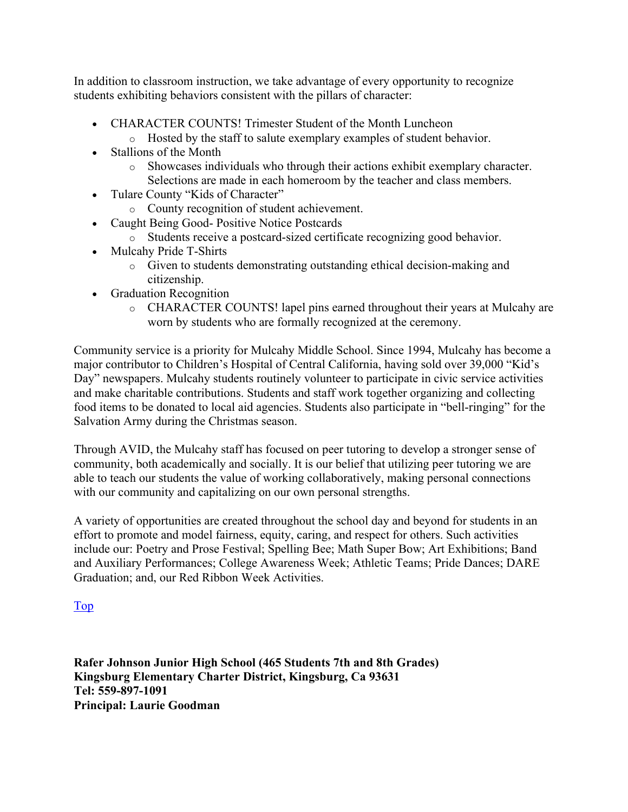In addition to classroom instruction, we take advantage of every opportunity to recognize students exhibiting behaviors consistent with the pillars of character:

- CHARACTER COUNTS! Trimester Student of the Month Luncheon
	- o Hosted by the staff to salute exemplary examples of student behavior.
- Stallions of the Month
	- o Showcases individuals who through their actions exhibit exemplary character. Selections are made in each homeroom by the teacher and class members.
- Tulare County "Kids of Character"
	- o County recognition of student achievement.
- Caught Being Good- Positive Notice Postcards
	- o Students receive a postcard-sized certificate recognizing good behavior.
- Mulcahy Pride T-Shirts
	- o Given to students demonstrating outstanding ethical decision-making and citizenship.
- Graduation Recognition
	- o CHARACTER COUNTS! lapel pins earned throughout their years at Mulcahy are worn by students who are formally recognized at the ceremony.

Community service is a priority for Mulcahy Middle School. Since 1994, Mulcahy has become a major contributor to Children's Hospital of Central California, having sold over 39,000 "Kid's Day" newspapers. Mulcahy students routinely volunteer to participate in civic service activities and make charitable contributions. Students and staff work together organizing and collecting food items to be donated to local aid agencies. Students also participate in "bell-ringing" for the Salvation Army during the Christmas season.

Through AVID, the Mulcahy staff has focused on peer tutoring to develop a stronger sense of community, both academically and socially. It is our belief that utilizing peer tutoring we are able to teach our students the value of working collaboratively, making personal connections with our community and capitalizing on our own personal strengths.

A variety of opportunities are created throughout the school day and beyond for students in an effort to promote and model fairness, equity, caring, and respect for others. Such activities include our: Poetry and Prose Festival; Spelling Bee; Math Super Bow; Art Exhibitions; Band and Auxiliary Performances; College Awareness Week; Athletic Teams; Pride Dances; DARE Graduation; and, our Red Ribbon Week Activities.

#### Top

**Rafer Johnson Junior High School (465 Students 7th and 8th Grades) Kingsburg Elementary Charter District, Kingsburg, Ca 93631 Tel: 559-897-1091 Principal: Laurie Goodman**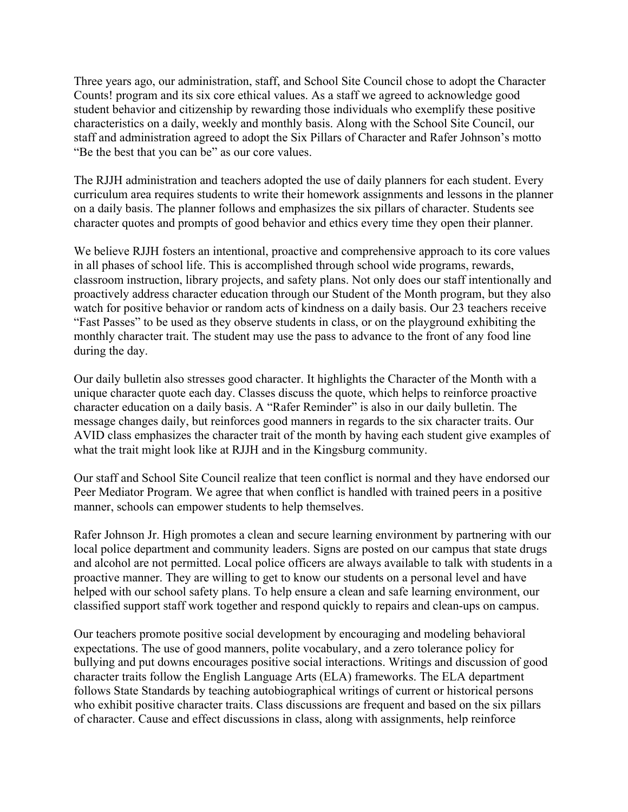Three years ago, our administration, staff, and School Site Council chose to adopt the Character Counts! program and its six core ethical values. As a staff we agreed to acknowledge good student behavior and citizenship by rewarding those individuals who exemplify these positive characteristics on a daily, weekly and monthly basis. Along with the School Site Council, our staff and administration agreed to adopt the Six Pillars of Character and Rafer Johnson's motto "Be the best that you can be" as our core values.

The RJJH administration and teachers adopted the use of daily planners for each student. Every curriculum area requires students to write their homework assignments and lessons in the planner on a daily basis. The planner follows and emphasizes the six pillars of character. Students see character quotes and prompts of good behavior and ethics every time they open their planner.

We believe RJJH fosters an intentional, proactive and comprehensive approach to its core values in all phases of school life. This is accomplished through school wide programs, rewards, classroom instruction, library projects, and safety plans. Not only does our staff intentionally and proactively address character education through our Student of the Month program, but they also watch for positive behavior or random acts of kindness on a daily basis. Our 23 teachers receive "Fast Passes" to be used as they observe students in class, or on the playground exhibiting the monthly character trait. The student may use the pass to advance to the front of any food line during the day.

Our daily bulletin also stresses good character. It highlights the Character of the Month with a unique character quote each day. Classes discuss the quote, which helps to reinforce proactive character education on a daily basis. A "Rafer Reminder" is also in our daily bulletin. The message changes daily, but reinforces good manners in regards to the six character traits. Our AVID class emphasizes the character trait of the month by having each student give examples of what the trait might look like at RJJH and in the Kingsburg community.

Our staff and School Site Council realize that teen conflict is normal and they have endorsed our Peer Mediator Program. We agree that when conflict is handled with trained peers in a positive manner, schools can empower students to help themselves.

Rafer Johnson Jr. High promotes a clean and secure learning environment by partnering with our local police department and community leaders. Signs are posted on our campus that state drugs and alcohol are not permitted. Local police officers are always available to talk with students in a proactive manner. They are willing to get to know our students on a personal level and have helped with our school safety plans. To help ensure a clean and safe learning environment, our classified support staff work together and respond quickly to repairs and clean-ups on campus.

Our teachers promote positive social development by encouraging and modeling behavioral expectations. The use of good manners, polite vocabulary, and a zero tolerance policy for bullying and put downs encourages positive social interactions. Writings and discussion of good character traits follow the English Language Arts (ELA) frameworks. The ELA department follows State Standards by teaching autobiographical writings of current or historical persons who exhibit positive character traits. Class discussions are frequent and based on the six pillars of character. Cause and effect discussions in class, along with assignments, help reinforce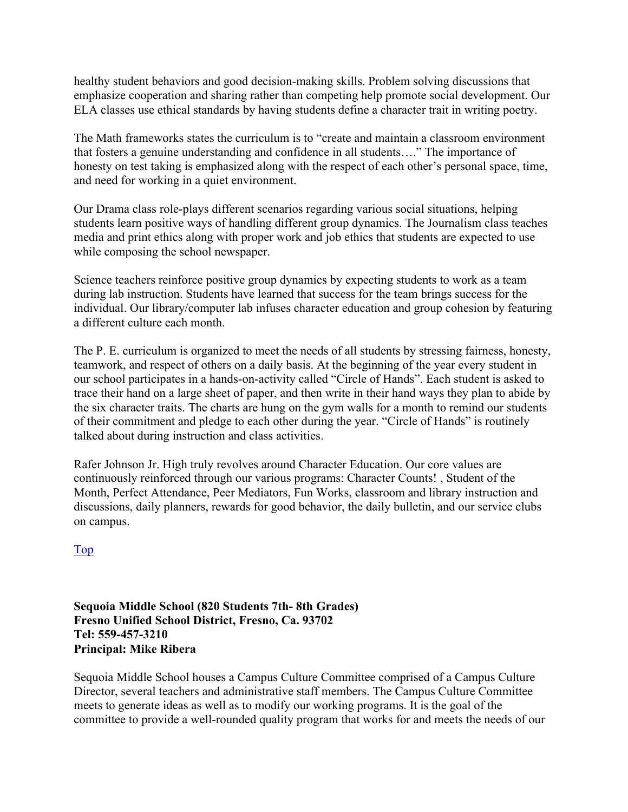healthy student behaviors and good decision-making skills. Problem solving discussions that emphasize cooperation and sharing rather than competing help promote social development. Our ELA classes use ethical standards by having students define a character trait in writing poetry.

The Math frameworks states the curriculum is to "create and maintain a classroom environment that fosters a genuine understanding and confidence in all students…." The importance of honesty on test taking is emphasized along with the respect of each other's personal space, time, and need for working in a quiet environment.

Our Drama class role-plays different scenarios regarding various social situations, helping students learn positive ways of handling different group dynamics. The Journalism class teaches media and print ethics along with proper work and job ethics that students are expected to use while composing the school newspaper.

Science teachers reinforce positive group dynamics by expecting students to work as a team during lab instruction. Students have learned that success for the team brings success for the individual. Our library/computer lab infuses character education and group cohesion by featuring a different culture each month.

The P. E. curriculum is organized to meet the needs of all students by stressing fairness, honesty, teamwork, and respect of others on a daily basis. At the beginning of the year every student in our school participates in a hands-on-activity called "Circle of Hands". Each student is asked to trace their hand on a large sheet of paper, and then write in their hand ways they plan to abide by the six character traits. The charts are hung on the gym walls for a month to remind our students of their commitment and pledge to each other during the year. "Circle of Hands" is routinely talked about during instruction and class activities.

Rafer Johnson Jr. High truly revolves around Character Education. Our core values are continuously reinforced through our various programs: Character Counts! , Student of the Month, Perfect Attendance, Peer Mediators, Fun Works, classroom and library instruction and discussions, daily planners, rewards for good behavior, the daily bulletin, and our service clubs on campus.

Top

**Sequoia Middle School (820 Students 7th- 8th Grades) Fresno Unified School District, Fresno, Ca. 93702 Tel: 559-457-3210 Principal: Mike Ribera** 

Sequoia Middle School houses a Campus Culture Committee comprised of a Campus Culture Director, several teachers and administrative staff members. The Campus Culture Committee meets to generate ideas as well as to modify our working programs. It is the goal of the committee to provide a well-rounded quality program that works for and meets the needs of our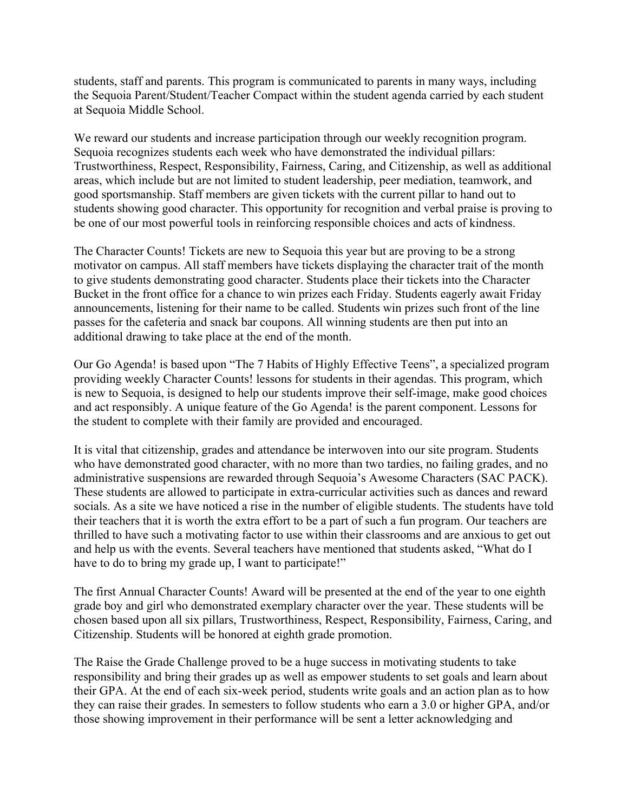students, staff and parents. This program is communicated to parents in many ways, including the Sequoia Parent/Student/Teacher Compact within the student agenda carried by each student at Sequoia Middle School.

We reward our students and increase participation through our weekly recognition program. Sequoia recognizes students each week who have demonstrated the individual pillars: Trustworthiness, Respect, Responsibility, Fairness, Caring, and Citizenship, as well as additional areas, which include but are not limited to student leadership, peer mediation, teamwork, and good sportsmanship. Staff members are given tickets with the current pillar to hand out to students showing good character. This opportunity for recognition and verbal praise is proving to be one of our most powerful tools in reinforcing responsible choices and acts of kindness.

The Character Counts! Tickets are new to Sequoia this year but are proving to be a strong motivator on campus. All staff members have tickets displaying the character trait of the month to give students demonstrating good character. Students place their tickets into the Character Bucket in the front office for a chance to win prizes each Friday. Students eagerly await Friday announcements, listening for their name to be called. Students win prizes such front of the line passes for the cafeteria and snack bar coupons. All winning students are then put into an additional drawing to take place at the end of the month.

Our Go Agenda! is based upon "The 7 Habits of Highly Effective Teens", a specialized program providing weekly Character Counts! lessons for students in their agendas. This program, which is new to Sequoia, is designed to help our students improve their self-image, make good choices and act responsibly. A unique feature of the Go Agenda! is the parent component. Lessons for the student to complete with their family are provided and encouraged.

It is vital that citizenship, grades and attendance be interwoven into our site program. Students who have demonstrated good character, with no more than two tardies, no failing grades, and no administrative suspensions are rewarded through Sequoia's Awesome Characters (SAC PACK). These students are allowed to participate in extra-curricular activities such as dances and reward socials. As a site we have noticed a rise in the number of eligible students. The students have told their teachers that it is worth the extra effort to be a part of such a fun program. Our teachers are thrilled to have such a motivating factor to use within their classrooms and are anxious to get out and help us with the events. Several teachers have mentioned that students asked, "What do I have to do to bring my grade up, I want to participate!"

The first Annual Character Counts! Award will be presented at the end of the year to one eighth grade boy and girl who demonstrated exemplary character over the year. These students will be chosen based upon all six pillars, Trustworthiness, Respect, Responsibility, Fairness, Caring, and Citizenship. Students will be honored at eighth grade promotion.

The Raise the Grade Challenge proved to be a huge success in motivating students to take responsibility and bring their grades up as well as empower students to set goals and learn about their GPA. At the end of each six-week period, students write goals and an action plan as to how they can raise their grades. In semesters to follow students who earn a 3.0 or higher GPA, and/or those showing improvement in their performance will be sent a letter acknowledging and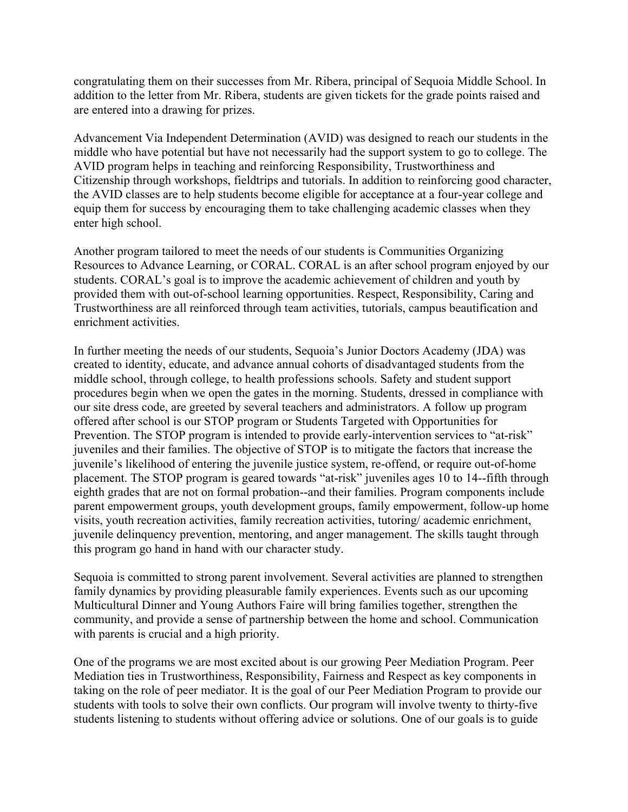congratulating them on their successes from Mr. Ribera, principal of Sequoia Middle School. In addition to the letter from Mr. Ribera, students are given tickets for the grade points raised and are entered into a drawing for prizes.

Advancement Via Independent Determination (AVID) was designed to reach our students in the middle who have potential but have not necessarily had the support system to go to college. The AVID program helps in teaching and reinforcing Responsibility, Trustworthiness and Citizenship through workshops, fieldtrips and tutorials. In addition to reinforcing good character, the AVID classes are to help students become eligible for acceptance at a four-year college and equip them for success by encouraging them to take challenging academic classes when they enter high school.

Another program tailored to meet the needs of our students is Communities Organizing Resources to Advance Learning, or CORAL. CORAL is an after school program enjoyed by our students. CORAL's goal is to improve the academic achievement of children and youth by provided them with out-of-school learning opportunities. Respect, Responsibility, Caring and Trustworthiness are all reinforced through team activities, tutorials, campus beautification and enrichment activities.

In further meeting the needs of our students, Sequoia's Junior Doctors Academy (JDA) was created to identity, educate, and advance annual cohorts of disadvantaged students from the middle school, through college, to health professions schools. Safety and student support procedures begin when we open the gates in the morning. Students, dressed in compliance with our site dress code, are greeted by several teachers and administrators. A follow up program offered after school is our STOP program or Students Targeted with Opportunities for Prevention. The STOP program is intended to provide early-intervention services to "at-risk" juveniles and their families. The objective of STOP is to mitigate the factors that increase the juvenile's likelihood of entering the juvenile justice system, re-offend, or require out-of-home placement. The STOP program is geared towards "at-risk" juveniles ages 10 to 14--fifth through eighth grades that are not on formal probation--and their families. Program components include parent empowerment groups, youth development groups, family empowerment, follow-up home visits, youth recreation activities, family recreation activities, tutoring/ academic enrichment, juvenile delinquency prevention, mentoring, and anger management. The skills taught through this program go hand in hand with our character study.

Sequoia is committed to strong parent involvement. Several activities are planned to strengthen family dynamics by providing pleasurable family experiences. Events such as our upcoming Multicultural Dinner and Young Authors Faire will bring families together, strengthen the community, and provide a sense of partnership between the home and school. Communication with parents is crucial and a high priority.

One of the programs we are most excited about is our growing Peer Mediation Program. Peer Mediation ties in Trustworthiness, Responsibility, Fairness and Respect as key components in taking on the role of peer mediator. It is the goal of our Peer Mediation Program to provide our students with tools to solve their own conflicts. Our program will involve twenty to thirty-five students listening to students without offering advice or solutions. One of our goals is to guide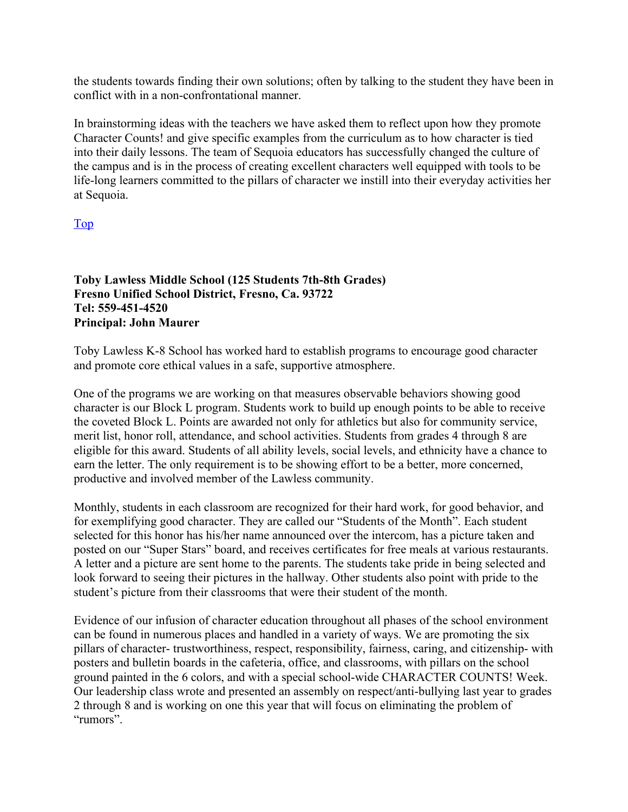the students towards finding their own solutions; often by talking to the student they have been in conflict with in a non-confrontational manner.

In brainstorming ideas with the teachers we have asked them to reflect upon how they promote Character Counts! and give specific examples from the curriculum as to how character is tied into their daily lessons. The team of Sequoia educators has successfully changed the culture of the campus and is in the process of creating excellent characters well equipped with tools to be life-long learners committed to the pillars of character we instill into their everyday activities her at Sequoia.

#### Top

**Toby Lawless Middle School (125 Students 7th-8th Grades) Fresno Unified School District, Fresno, Ca. 93722 Tel: 559-451-4520 Principal: John Maurer** 

Toby Lawless K-8 School has worked hard to establish programs to encourage good character and promote core ethical values in a safe, supportive atmosphere.

One of the programs we are working on that measures observable behaviors showing good character is our Block L program. Students work to build up enough points to be able to receive the coveted Block L. Points are awarded not only for athletics but also for community service, merit list, honor roll, attendance, and school activities. Students from grades 4 through 8 are eligible for this award. Students of all ability levels, social levels, and ethnicity have a chance to earn the letter. The only requirement is to be showing effort to be a better, more concerned, productive and involved member of the Lawless community.

Monthly, students in each classroom are recognized for their hard work, for good behavior, and for exemplifying good character. They are called our "Students of the Month". Each student selected for this honor has his/her name announced over the intercom, has a picture taken and posted on our "Super Stars" board, and receives certificates for free meals at various restaurants. A letter and a picture are sent home to the parents. The students take pride in being selected and look forward to seeing their pictures in the hallway. Other students also point with pride to the student's picture from their classrooms that were their student of the month.

Evidence of our infusion of character education throughout all phases of the school environment can be found in numerous places and handled in a variety of ways. We are promoting the six pillars of character- trustworthiness, respect, responsibility, fairness, caring, and citizenship- with posters and bulletin boards in the cafeteria, office, and classrooms, with pillars on the school ground painted in the 6 colors, and with a special school-wide CHARACTER COUNTS! Week. Our leadership class wrote and presented an assembly on respect/anti-bullying last year to grades 2 through 8 and is working on one this year that will focus on eliminating the problem of "rumors".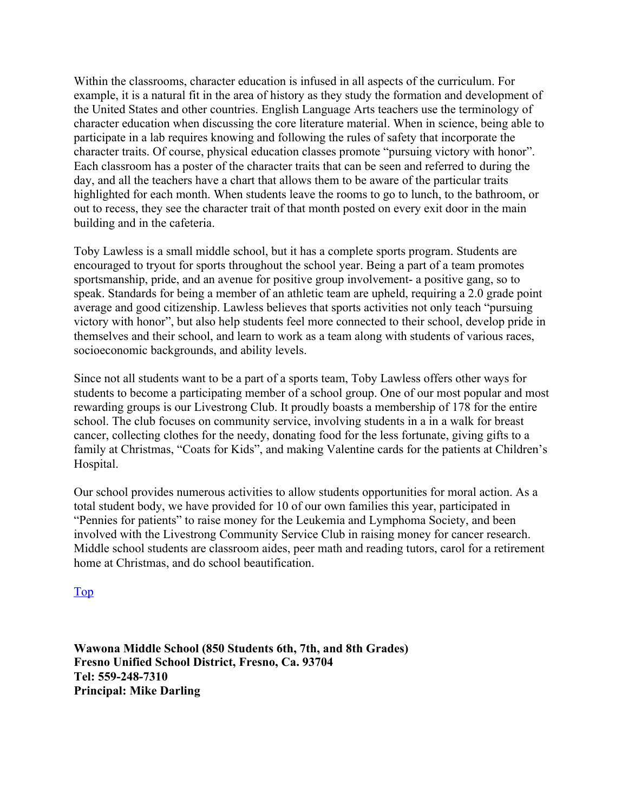Within the classrooms, character education is infused in all aspects of the curriculum. For example, it is a natural fit in the area of history as they study the formation and development of the United States and other countries. English Language Arts teachers use the terminology of character education when discussing the core literature material. When in science, being able to participate in a lab requires knowing and following the rules of safety that incorporate the character traits. Of course, physical education classes promote "pursuing victory with honor". Each classroom has a poster of the character traits that can be seen and referred to during the day, and all the teachers have a chart that allows them to be aware of the particular traits highlighted for each month. When students leave the rooms to go to lunch, to the bathroom, or out to recess, they see the character trait of that month posted on every exit door in the main building and in the cafeteria.

Toby Lawless is a small middle school, but it has a complete sports program. Students are encouraged to tryout for sports throughout the school year. Being a part of a team promotes sportsmanship, pride, and an avenue for positive group involvement- a positive gang, so to speak. Standards for being a member of an athletic team are upheld, requiring a 2.0 grade point average and good citizenship. Lawless believes that sports activities not only teach "pursuing victory with honor", but also help students feel more connected to their school, develop pride in themselves and their school, and learn to work as a team along with students of various races, socioeconomic backgrounds, and ability levels.

Since not all students want to be a part of a sports team, Toby Lawless offers other ways for students to become a participating member of a school group. One of our most popular and most rewarding groups is our Livestrong Club. It proudly boasts a membership of 178 for the entire school. The club focuses on community service, involving students in a in a walk for breast cancer, collecting clothes for the needy, donating food for the less fortunate, giving gifts to a family at Christmas, "Coats for Kids", and making Valentine cards for the patients at Children's Hospital.

Our school provides numerous activities to allow students opportunities for moral action. As a total student body, we have provided for 10 of our own families this year, participated in "Pennies for patients" to raise money for the Leukemia and Lymphoma Society, and been involved with the Livestrong Community Service Club in raising money for cancer research. Middle school students are classroom aides, peer math and reading tutors, carol for a retirement home at Christmas, and do school beautification.

Top

**Wawona Middle School (850 Students 6th, 7th, and 8th Grades) Fresno Unified School District, Fresno, Ca. 93704 Tel: 559-248-7310 Principal: Mike Darling**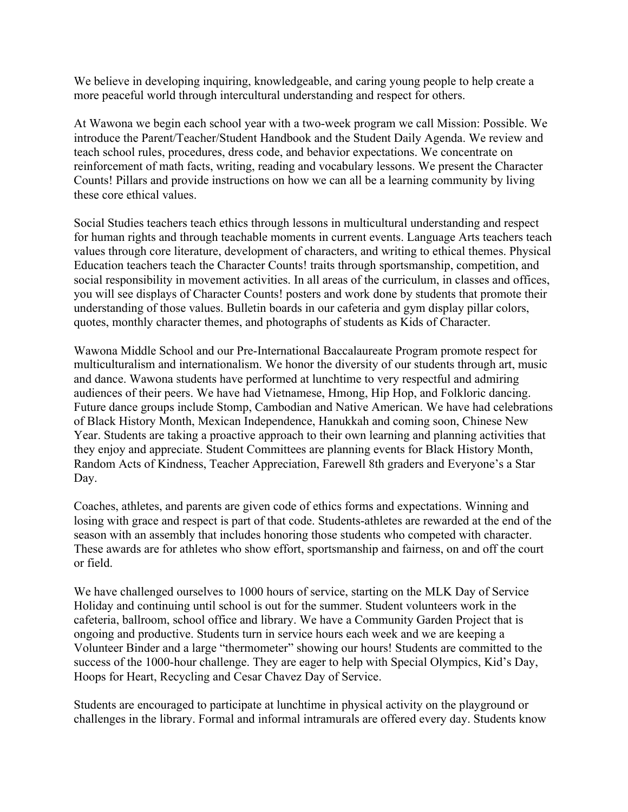We believe in developing inquiring, knowledgeable, and caring young people to help create a more peaceful world through intercultural understanding and respect for others.

At Wawona we begin each school year with a two-week program we call Mission: Possible. We introduce the Parent/Teacher/Student Handbook and the Student Daily Agenda. We review and teach school rules, procedures, dress code, and behavior expectations. We concentrate on reinforcement of math facts, writing, reading and vocabulary lessons. We present the Character Counts! Pillars and provide instructions on how we can all be a learning community by living these core ethical values.

Social Studies teachers teach ethics through lessons in multicultural understanding and respect for human rights and through teachable moments in current events. Language Arts teachers teach values through core literature, development of characters, and writing to ethical themes. Physical Education teachers teach the Character Counts! traits through sportsmanship, competition, and social responsibility in movement activities. In all areas of the curriculum, in classes and offices, you will see displays of Character Counts! posters and work done by students that promote their understanding of those values. Bulletin boards in our cafeteria and gym display pillar colors, quotes, monthly character themes, and photographs of students as Kids of Character.

Wawona Middle School and our Pre-International Baccalaureate Program promote respect for multiculturalism and internationalism. We honor the diversity of our students through art, music and dance. Wawona students have performed at lunchtime to very respectful and admiring audiences of their peers. We have had Vietnamese, Hmong, Hip Hop, and Folkloric dancing. Future dance groups include Stomp, Cambodian and Native American. We have had celebrations of Black History Month, Mexican Independence, Hanukkah and coming soon, Chinese New Year. Students are taking a proactive approach to their own learning and planning activities that they enjoy and appreciate. Student Committees are planning events for Black History Month, Random Acts of Kindness, Teacher Appreciation, Farewell 8th graders and Everyone's a Star Day.

Coaches, athletes, and parents are given code of ethics forms and expectations. Winning and losing with grace and respect is part of that code. Students-athletes are rewarded at the end of the season with an assembly that includes honoring those students who competed with character. These awards are for athletes who show effort, sportsmanship and fairness, on and off the court or field.

We have challenged ourselves to 1000 hours of service, starting on the MLK Day of Service Holiday and continuing until school is out for the summer. Student volunteers work in the cafeteria, ballroom, school office and library. We have a Community Garden Project that is ongoing and productive. Students turn in service hours each week and we are keeping a Volunteer Binder and a large "thermometer" showing our hours! Students are committed to the success of the 1000-hour challenge. They are eager to help with Special Olympics, Kid's Day, Hoops for Heart, Recycling and Cesar Chavez Day of Service.

Students are encouraged to participate at lunchtime in physical activity on the playground or challenges in the library. Formal and informal intramurals are offered every day. Students know